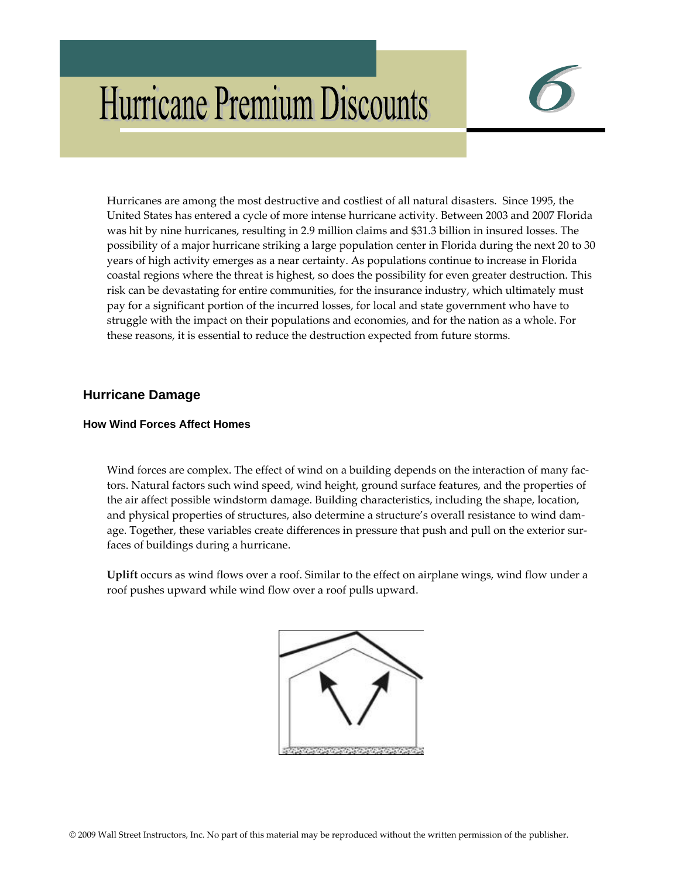# **Hurricane Premium Discounts**



Hurricanes are among the most destructive and costliest of all natural disasters. Since 1995, the United States has entered a cycle of more intense hurricane activity. Between 2003 and 2007 Florida was hit by nine hurricanes, resulting in 2.9 million claims and \$31.3 billion in insured losses. The possibility of a major hurricane striking a large population center in Florida during the next 20 to 30 years of high activity emerges as a near certainty. As populations continue to increase in Florida coastal regions where the threat is highest, so does the possibility for even greater destruction. This risk can be devastating for entire communities, for the insurance industry, which ultimately must pay for a significant portion of the incurred losses, for local and state government who have to struggle with the impact on their populations and economies, and for the nation as a whole. For these reasons, it is essential to reduce the destruction expected from future storms.

# **Hurricane Damage**

### **How Wind Forces Affect Homes**

Wind forces are complex. The effect of wind on a building depends on the interaction of many factors. Natural factors such wind speed, wind height, ground surface features, and the properties of the air affect possible windstorm damage. Building characteristics, including the shape, location, and physical properties of structures, also determine a structure's overall resistance to wind dam‐ age. Together, these variables create differences in pressure that push and pull on the exterior surfaces of buildings during a hurricane.

**Uplift** occurs as wind flows over a roof. Similar to the effect on airplane wings, wind flow under a roof pushes upward while wind flow over a roof pulls upward.

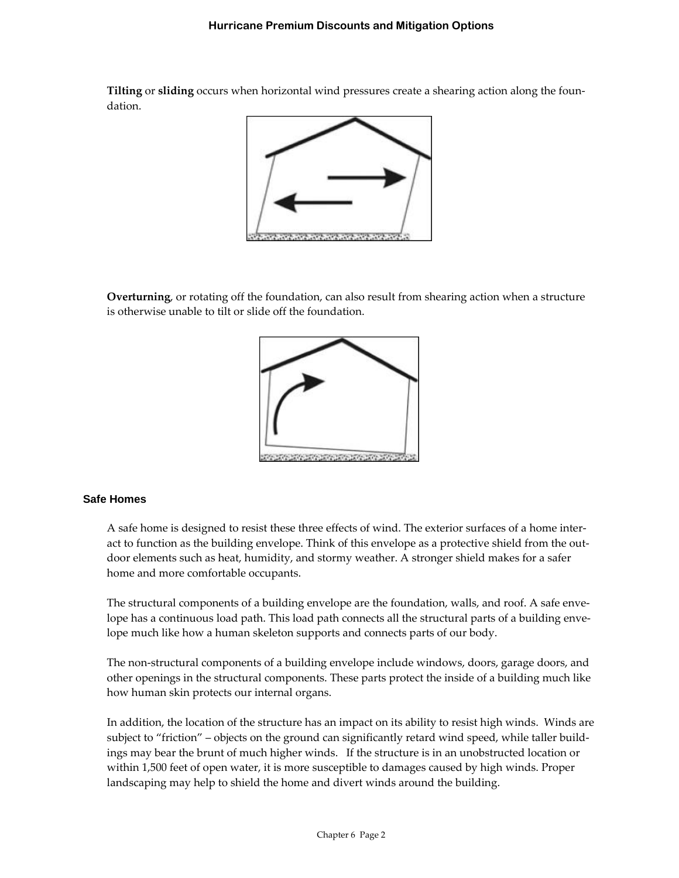**Tilting** or **sliding** occurs when horizontal wind pressures create a shearing action along the foun‐ dation.



**Overturning**, or rotating off the foundation, can also result from shearing action when a structure is otherwise unable to tilt or slide off the foundation.



#### **Safe Homes**

A safe home is designed to resist these three effects of wind. The exterior surfaces of a home inter‐ act to function as the building envelope. Think of this envelope as a protective shield from the outdoor elements such as heat, humidity, and stormy weather. A stronger shield makes for a safer home and more comfortable occupants.

The structural components of a building envelope are the foundation, walls, and roof. A safe envelope has a continuous load path. This load path connects all the structural parts of a building envelope much like how a human skeleton supports and connects parts of our body.

The non‐structural components of a building envelope include windows, doors, garage doors, and other openings in the structural components. These parts protect the inside of a building much like how human skin protects our internal organs.

In addition, the location of the structure has an impact on its ability to resist high winds. Winds are subject to "friction" – objects on the ground can significantly retard wind speed, while taller buildings may bear the brunt of much higher winds. If the structure is in an unobstructed location or within 1,500 feet of open water, it is more susceptible to damages caused by high winds. Proper landscaping may help to shield the home and divert winds around the building.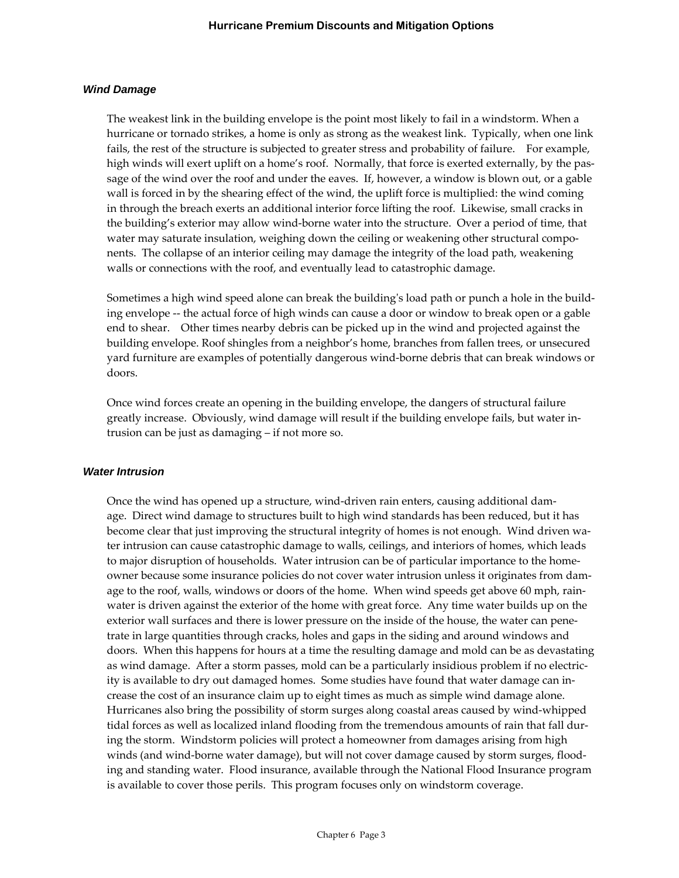#### *Wind Damage*

The weakest link in the building envelope is the point most likely to fail in a windstorm. When a hurricane or tornado strikes, a home is only as strong as the weakest link. Typically, when one link fails, the rest of the structure is subjected to greater stress and probability of failure. For example, high winds will exert uplift on a home's roof. Normally, that force is exerted externally, by the passage of the wind over the roof and under the eaves. If, however, a window is blown out, or a gable wall is forced in by the shearing effect of the wind, the uplift force is multiplied: the wind coming in through the breach exerts an additional interior force lifting the roof. Likewise, small cracks in the building's exterior may allow wind‐borne water into the structure. Over a period of time, that water may saturate insulation, weighing down the ceiling or weakening other structural components. The collapse of an interior ceiling may damage the integrity of the load path, weakening walls or connections with the roof, and eventually lead to catastrophic damage.

Sometimes a high wind speed alone can break the building's load path or punch a hole in the building envelope ‐‐ the actual force of high winds can cause a door or window to break open or a gable end to shear. Other times nearby debris can be picked up in the wind and projected against the building envelope. Roof shingles from a neighbor's home, branches from fallen trees, or unsecured yard furniture are examples of potentially dangerous wind‐borne debris that can break windows or doors.

Once wind forces create an opening in the building envelope, the dangers of structural failure greatly increase. Obviously, wind damage will result if the building envelope fails, but water in‐ trusion can be just as damaging – if not more so.

#### *Water Intrusion*

Once the wind has opened up a structure, wind-driven rain enters, causing additional damage. Direct wind damage to structures built to high wind standards has been reduced, but it has become clear that just improving the structural integrity of homes is not enough. Wind driven water intrusion can cause catastrophic damage to walls, ceilings, and interiors of homes, which leads to major disruption of households. Water intrusion can be of particular importance to the homeowner because some insurance policies do not cover water intrusion unless it originates from dam‐ age to the roof, walls, windows or doors of the home. When wind speeds get above 60 mph, rainwater is driven against the exterior of the home with great force. Any time water builds up on the exterior wall surfaces and there is lower pressure on the inside of the house, the water can pene‐ trate in large quantities through cracks, holes and gaps in the siding and around windows and doors. When this happens for hours at a time the resulting damage and mold can be as devastating as wind damage. After a storm passes, mold can be a particularly insidious problem if no electricity is available to dry out damaged homes. Some studies have found that water damage can in‐ crease the cost of an insurance claim up to eight times as much as simple wind damage alone. Hurricanes also bring the possibility of storm surges along coastal areas caused by wind‐whipped tidal forces as well as localized inland flooding from the tremendous amounts of rain that fall during the storm. Windstorm policies will protect a homeowner from damages arising from high winds (and wind-borne water damage), but will not cover damage caused by storm surges, flooding and standing water. Flood insurance, available through the National Flood Insurance program is available to cover those perils. This program focuses only on windstorm coverage.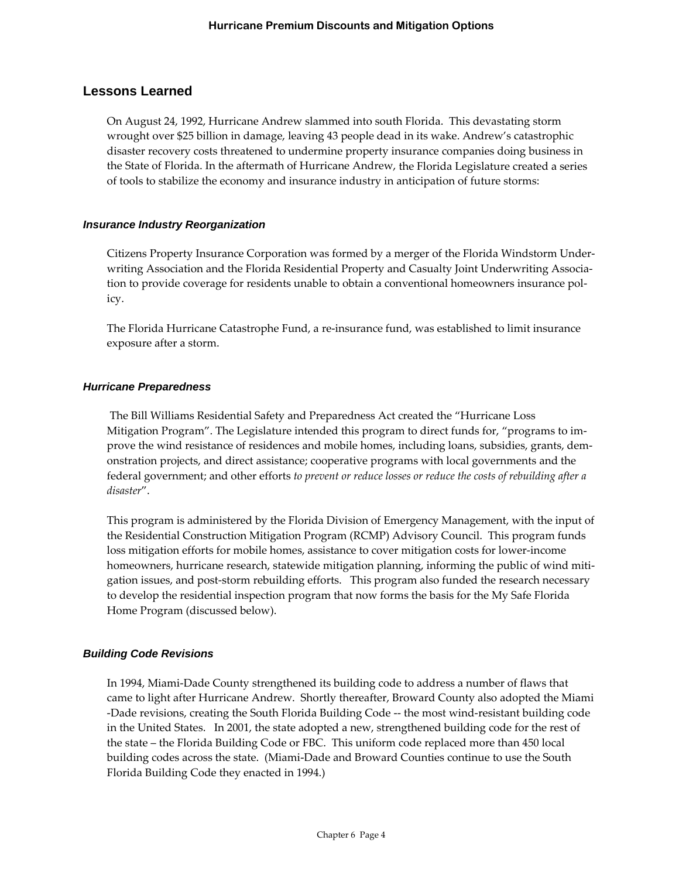# **Lessons Learned**

On August 24, 1992, Hurricane Andrew slammed into south Florida. This devastating storm wrought over \$25 billion in damage, leaving 43 people dead in its wake. Andrew's catastrophic disaster recovery costs threatened to undermine property insurance companies doing business in the State of Florida. In the aftermath of Hurricane Andrew, the Florida Legislature created a series of tools to stabilize the economy and insurance industry in anticipation of future storms:

#### *Insurance Industry Reorganization*

Citizens Property Insurance Corporation was formed by a merger of the Florida Windstorm Under‐ writing Association and the Florida Residential Property and Casualty Joint Underwriting Association to provide coverage for residents unable to obtain a conventional homeowners insurance policy.

The Florida Hurricane Catastrophe Fund, a re‐insurance fund, was established to limit insurance exposure after a storm.

#### *Hurricane Preparedness*

The Bill Williams Residential Safety and Preparedness Act created the "Hurricane Loss Mitigation Program". The Legislature intended this program to direct funds for, "programs to im‐ prove the wind resistance of residences and mobile homes, including loans, subsidies, grants, demonstration projects, and direct assistance; cooperative programs with local governments and the federal government; and other efforts *to prevent or reduce losses or reduce the costs of rebuilding after a disaster*".

This program is administered by the Florida Division of Emergency Management, with the input of the Residential Construction Mitigation Program (RCMP) Advisory Council. This program funds loss mitigation efforts for mobile homes, assistance to cover mitigation costs for lower‐income homeowners, hurricane research, statewide mitigation planning, informing the public of wind mitigation issues, and post‐storm rebuilding efforts. This program also funded the research necessary to develop the residential inspection program that now forms the basis for the My Safe Florida Home Program (discussed below).

#### *Building Code Revisions*

In 1994, Miami‐Dade County strengthened its building code to address a number of flaws that came to light after Hurricane Andrew. Shortly thereafter, Broward County also adopted the Miami ‐Dade revisions, creating the South Florida Building Code ‐‐ the most wind‐resistant building code in the United States. In 2001, the state adopted a new, strengthened building code for the rest of the state – the Florida Building Code or FBC. This uniform code replaced more than 450 local building codes across the state. (Miami‐Dade and Broward Counties continue to use the South Florida Building Code they enacted in 1994.)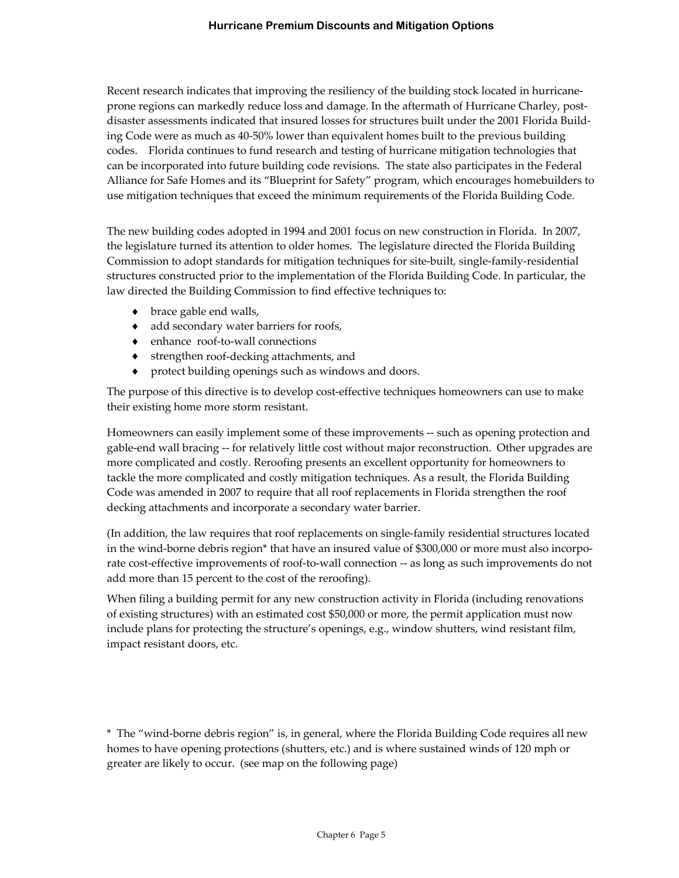Recent research indicates that improving the resiliency of the building stock located in hurricaneprone regions can markedly reduce loss and damage. In the aftermath of Hurricane Charley, postdisaster assessments indicated that insured losses for structures built under the 2001 Florida Build‐ ing Code were as much as 40‐50% lower than equivalent homes built to the previous building codes. Florida continues to fund research and testing of hurricane mitigation technologies that can be incorporated into future building code revisions. The state also participates in the Federal Alliance for Safe Homes and its "Blueprint for Safety" program, which encourages homebuilders to use mitigation techniques that exceed the minimum requirements of the Florida Building Code.

The new building codes adopted in 1994 and 2001 focus on new construction in Florida. In 2007, the legislature turned its attention to older homes. The legislature directed the Florida Building Commission to adopt standards for mitigation techniques for site‐built, single‐family‐residential structures constructed prior to the implementation of the Florida Building Code. In particular, the law directed the Building Commission to find effective techniques to:

- brace gable end walls,
- ♦ add secondary water barriers for roofs,
- ♦ enhance roof‐to‐wall connections
- ♦ strengthen roof‐decking attachments, and
- protect building openings such as windows and doors.

The purpose of this directive is to develop cost-effective techniques homeowners can use to make their existing home more storm resistant.

Homeowners can easily implement some of these improvements ‐‐ such as opening protection and gable‐end wall bracing ‐‐ for relatively little cost without major reconstruction. Other upgrades are more complicated and costly. Reroofing presents an excellent opportunity for homeowners to tackle the more complicated and costly mitigation techniques. As a result, the Florida Building Code was amended in 2007 to require that all roof replacements in Florida strengthen the roof decking attachments and incorporate a secondary water barrier.

(In addition, the law requires that roof replacements on single‐family residential structures located in the wind-borne debris region\* that have an insured value of \$300,000 or more must also incorporate cost-effective improvements of roof-to-wall connection -- as long as such improvements do not add more than 15 percent to the cost of the reroofing).

When filing a building permit for any new construction activity in Florida (including renovations of existing structures) with an estimated cost \$50,000 or more, the permit application must now include plans for protecting the structure's openings, e.g., window shutters, wind resistant film, impact resistant doors, etc.

\* The "wind‐borne debris region" is, in general, where the Florida Building Code requires all new homes to have opening protections (shutters, etc.) and is where sustained winds of 120 mph or greater are likely to occur. (see map on the following page)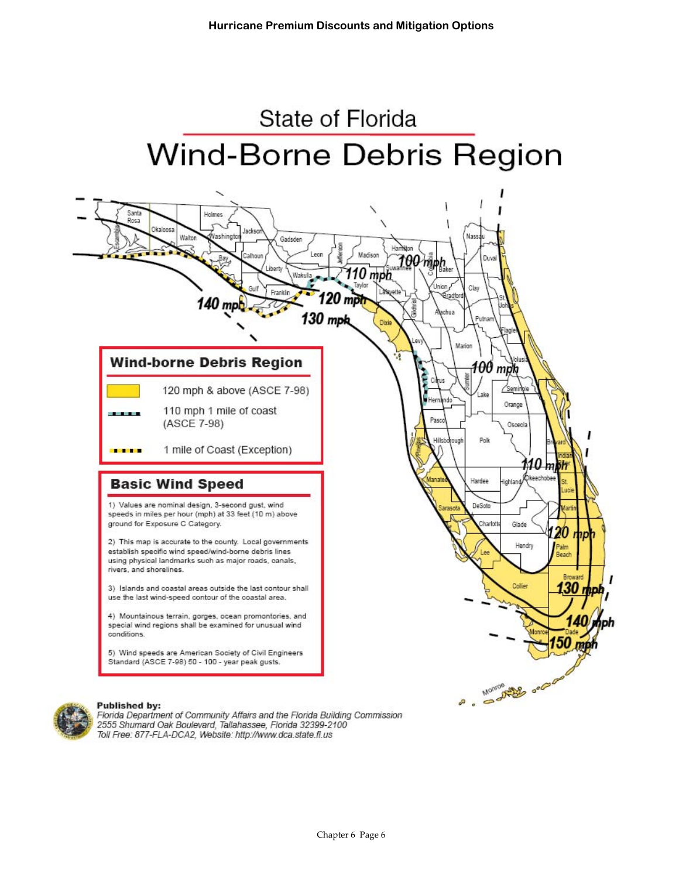



Florida Department of Community Affairs and the Florida Building Commission 2555 Shumard Oak Boulevard, Tallahassee, Florida 32399-2100 Toll Free: 877-FLA-DCA2, Website: http://www.dca.state.fl.us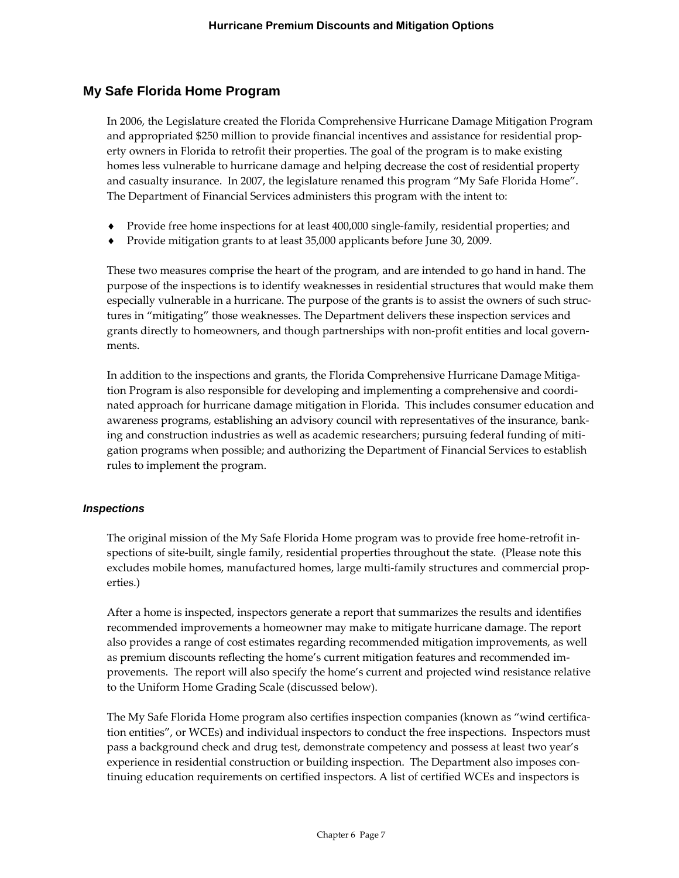# **My Safe Florida Home Program**

In 2006, the Legislature created the Florida Comprehensive Hurricane Damage Mitigation Program and appropriated \$250 million to provide financial incentives and assistance for residential prop‐ erty owners in Florida to retrofit their properties. The goal of the program is to make existing homes less vulnerable to hurricane damage and helping decrease the cost of residential property and casualty insurance. In 2007, the legislature renamed this program "My Safe Florida Home". The Department of Financial Services administers this program with the intent to:

- ♦ Provide free home inspections for at least 400,000 single‐family, residential properties; and
- Provide mitigation grants to at least 35,000 applicants before June 30, 2009.

These two measures comprise the heart of the program, and are intended to go hand in hand. The purpose of the inspections is to identify weaknesses in residential structures that would make them especially vulnerable in a hurricane. The purpose of the grants is to assist the owners of such structures in "mitigating" those weaknesses. The Department delivers these inspection services and grants directly to homeowners, and though partnerships with non‐profit entities and local govern‐ ments.

In addition to the inspections and grants, the Florida Comprehensive Hurricane Damage Mitigation Program is also responsible for developing and implementing a comprehensive and coordinated approach for hurricane damage mitigation in Florida. This includes consumer education and awareness programs, establishing an advisory council with representatives of the insurance, bank‐ ing and construction industries as well as academic researchers; pursuing federal funding of mitigation programs when possible; and authorizing the Department of Financial Services to establish rules to implement the program.

#### *Inspections*

The original mission of the My Safe Florida Home program was to provide free home-retrofit inspections of site-built, single family, residential properties throughout the state. (Please note this excludes mobile homes, manufactured homes, large multi-family structures and commercial properties.)

After a home is inspected, inspectors generate a report that summarizes the results and identifies recommended improvements a homeowner may make to mitigate hurricane damage. The report also provides a range of cost estimates regarding recommended mitigation improvements, as well as premium discounts reflecting the home's current mitigation features and recommended im‐ provements. The report will also specify the home's current and projected wind resistance relative to the Uniform Home Grading Scale (discussed below).

The My Safe Florida Home program also certifies inspection companies (known as "wind certification entities", or WCEs) and individual inspectors to conduct the free inspections. Inspectors must pass a background check and drug test, demonstrate competency and possess at least two year's experience in residential construction or building inspection. The Department also imposes continuing education requirements on certified inspectors. A list of certified WCEs and inspectors is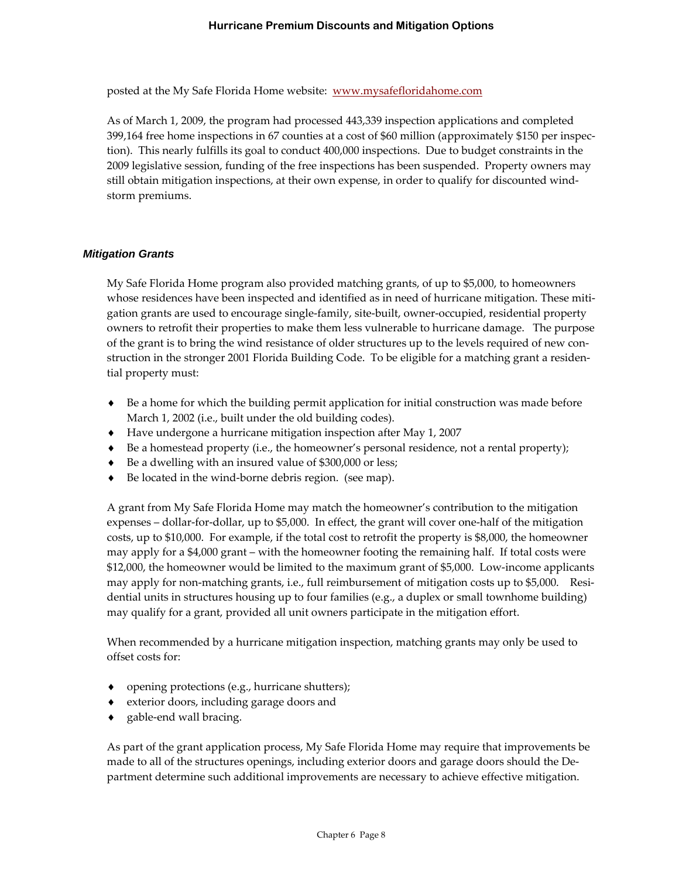posted at the My Safe Florida Home website: www.mysafefloridahome.com

As of March 1, 2009, the program had processed 443,339 inspection applications and completed 399,164 free home inspections in 67 counties at a cost of \$60 million (approximately \$150 per inspec‐ tion). This nearly fulfills its goal to conduct 400,000 inspections. Due to budget constraints in the 2009 legislative session, funding of the free inspections has been suspended. Property owners may still obtain mitigation inspections, at their own expense, in order to qualify for discounted wind‐ storm premiums.

#### *Mitigation Grants*

My Safe Florida Home program also provided matching grants, of up to \$5,000, to homeowners whose residences have been inspected and identified as in need of hurricane mitigation. These mitigation grants are used to encourage single‐family, site‐built, owner‐occupied, residential property owners to retrofit their properties to make them less vulnerable to hurricane damage. The purpose of the grant is to bring the wind resistance of older structures up to the levels required of new construction in the stronger 2001 Florida Building Code. To be eligible for a matching grant a residen‐ tial property must:

- ♦ Be a home for which the building permit application for initial construction was made before March 1, 2002 (i.e., built under the old building codes).
- ♦ Have undergone a hurricane mitigation inspection after May 1, 2007
- ♦ Be a homestead property (i.e., the homeowner's personal residence, not a rental property);
- Be a dwelling with an insured value of \$300,000 or less;
- Be located in the wind-borne debris region. (see map).

A grant from My Safe Florida Home may match the homeowner's contribution to the mitigation expenses – dollar-for-dollar, up to \$5,000. In effect, the grant will cover one-half of the mitigation costs, up to \$10,000. For example, if the total cost to retrofit the property is \$8,000, the homeowner may apply for a \$4,000 grant – with the homeowner footing the remaining half. If total costs were \$12,000, the homeowner would be limited to the maximum grant of \$5,000. Low‐income applicants may apply for non-matching grants, i.e., full reimbursement of mitigation costs up to \$5,000. Residential units in structures housing up to four families (e.g., a duplex or small townhome building) may qualify for a grant, provided all unit owners participate in the mitigation effort.

When recommended by a hurricane mitigation inspection, matching grants may only be used to offset costs for:

- ♦ opening protections (e.g., hurricane shutters);
- ♦ exterior doors, including garage doors and
- ◆ gable-end wall bracing.

As part of the grant application process, My Safe Florida Home may require that improvements be made to all of the structures openings, including exterior doors and garage doors should the De‐ partment determine such additional improvements are necessary to achieve effective mitigation.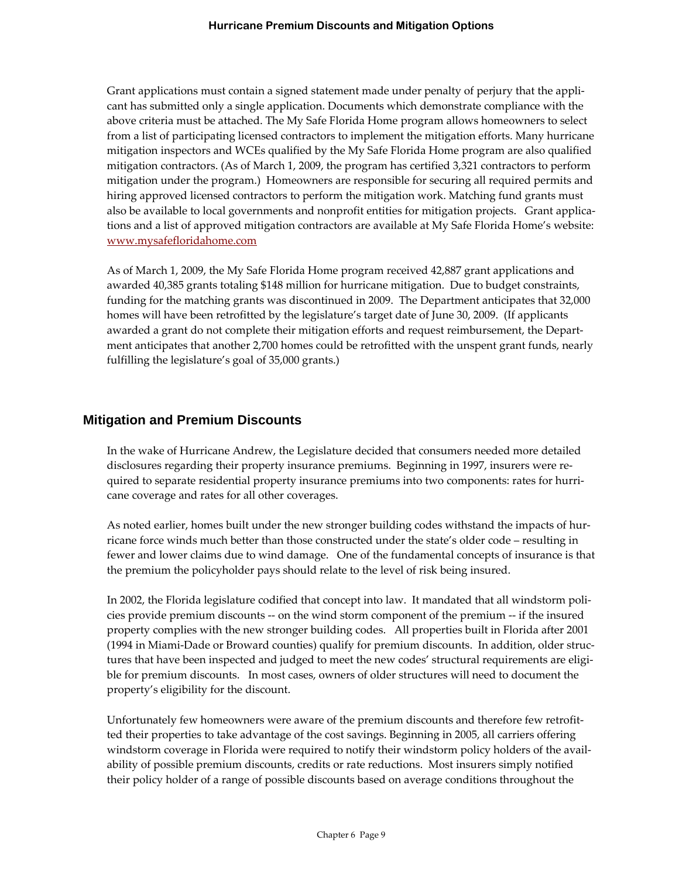Grant applications must contain a signed statement made under penalty of perjury that the applicant has submitted only a single application. Documents which demonstrate compliance with the above criteria must be attached. The My Safe Florida Home program allows homeowners to select from a list of participating licensed contractors to implement the mitigation efforts. Many hurricane mitigation inspectors and WCEs qualified by the My Safe Florida Home program are also qualified mitigation contractors. (As of March 1, 2009, the program has certified 3,321 contractors to perform mitigation under the program.) Homeowners are responsible for securing all required permits and hiring approved licensed contractors to perform the mitigation work. Matching fund grants must also be available to local governments and nonprofit entities for mitigation projects. Grant applications and a list of approved mitigation contractors are available at My Safe Florida Home's website: www.mysafefloridahome.com

As of March 1, 2009, the My Safe Florida Home program received 42,887 grant applications and awarded 40,385 grants totaling \$148 million for hurricane mitigation. Due to budget constraints, funding for the matching grants was discontinued in 2009. The Department anticipates that 32,000 homes will have been retrofitted by the legislature's target date of June 30, 2009. (If applicants awarded a grant do not complete their mitigation efforts and request reimbursement, the Depart‐ ment anticipates that another 2,700 homes could be retrofitted with the unspent grant funds, nearly fulfilling the legislature's goal of 35,000 grants.)

## **Mitigation and Premium Discounts**

In the wake of Hurricane Andrew, the Legislature decided that consumers needed more detailed disclosures regarding their property insurance premiums. Beginning in 1997, insurers were re‐ quired to separate residential property insurance premiums into two components: rates for hurri– cane coverage and rates for all other coverages.

As noted earlier, homes built under the new stronger building codes withstand the impacts of hur‐ ricane force winds much better than those constructed under the state's older code – resulting in fewer and lower claims due to wind damage. One of the fundamental concepts of insurance is that the premium the policyholder pays should relate to the level of risk being insured.

In 2002, the Florida legislature codified that concept into law. It mandated that all windstorm poli‐ cies provide premium discounts ‐‐ on the wind storm component of the premium ‐‐ if the insured property complies with the new stronger building codes. All properties built in Florida after 2001 (1994 in Miami‐Dade or Broward counties) qualify for premium discounts. In addition, older struc‐ tures that have been inspected and judged to meet the new codes' structural requirements are eligible for premium discounts. In most cases, owners of older structures will need to document the property's eligibility for the discount.

Unfortunately few homeowners were aware of the premium discounts and therefore few retrofit‐ ted their properties to take advantage of the cost savings. Beginning in 2005, all carriers offering windstorm coverage in Florida were required to notify their windstorm policy holders of the availability of possible premium discounts, credits or rate reductions. Most insurers simply notified their policy holder of a range of possible discounts based on average conditions throughout the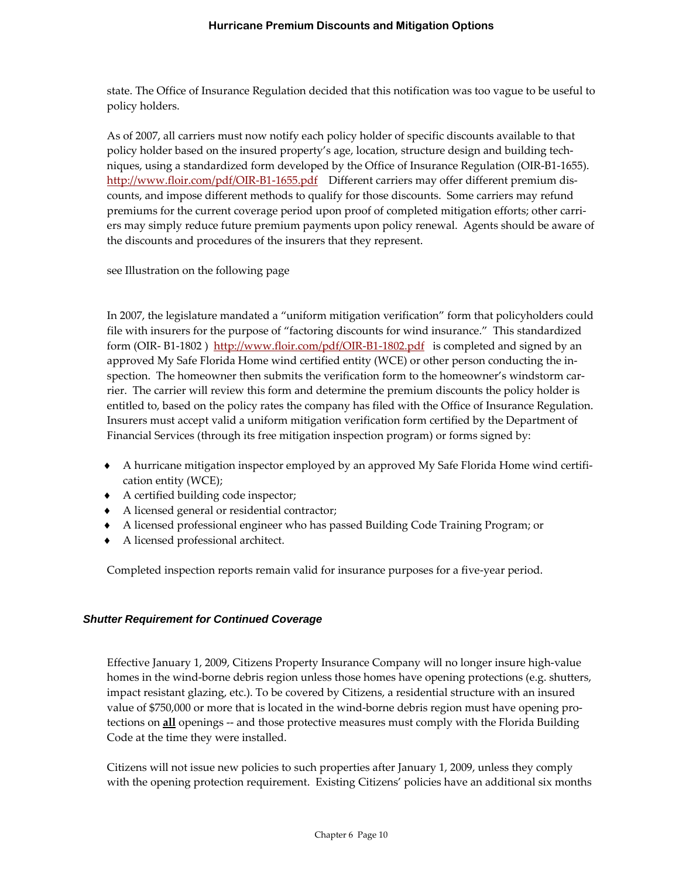state. The Office of Insurance Regulation decided that this notification was too vague to be useful to policy holders.

As of 2007, all carriers must now notify each policy holder of specific discounts available to that policy holder based on the insured property's age, location, structure design and building tech‐ niques, using a standardized form developed by the Office of Insurance Regulation (OIR‐B1‐1655). http://www.floir.com/pdf/OIR-B1-1655.pdf Different carriers may offer different premium discounts, and impose different methods to qualify for those discounts. Some carriers may refund premiums for the current coverage period upon proof of completed mitigation efforts; other carriers may simply reduce future premium payments upon policy renewal. Agents should be aware of the discounts and procedures of the insurers that they represent.

see Illustration on the following page

In 2007, the legislature mandated a "uniform mitigation verification" form that policyholders could file with insurers for the purpose of "factoring discounts for wind insurance." This standardized form (OIR-B1-1802) http://www.floir.com/pdf/OIR-B1-1802.pdf is completed and signed by an approved My Safe Florida Home wind certified entity (WCE) or other person conducting the in‐ spection. The homeowner then submits the verification form to the homeowner's windstorm carrier. The carrier will review this form and determine the premium discounts the policy holder is entitled to, based on the policy rates the company has filed with the Office of Insurance Regulation. Insurers must accept valid a uniform mitigation verification form certified by the Department of Financial Services (through its free mitigation inspection program) or forms signed by:

- ◆ A hurricane mitigation inspector employed by an approved My Safe Florida Home wind certifi– cation entity (WCE);
- ♦ A certified building code inspector;
- ♦ A licensed general or residential contractor;
- ♦ A licensed professional engineer who has passed Building Code Training Program; or
- ♦ A licensed professional architect.

Completed inspection reports remain valid for insurance purposes for a five-year period.

### *Shutter Requirement for Continued Coverage*

Effective January 1, 2009, Citizens Property Insurance Company will no longer insure high‐value homes in the wind-borne debris region unless those homes have opening protections (e.g. shutters, impact resistant glazing, etc.). To be covered by Citizens, a residential structure with an insured value of \$750,000 or more that is located in the wind‐borne debris region must have opening pro‐ tections on **all** openings -- and those protective measures must comply with the Florida Building Code at the time they were installed.

Citizens will not issue new policies to such properties after January 1, 2009, unless they comply with the opening protection requirement. Existing Citizens' policies have an additional six months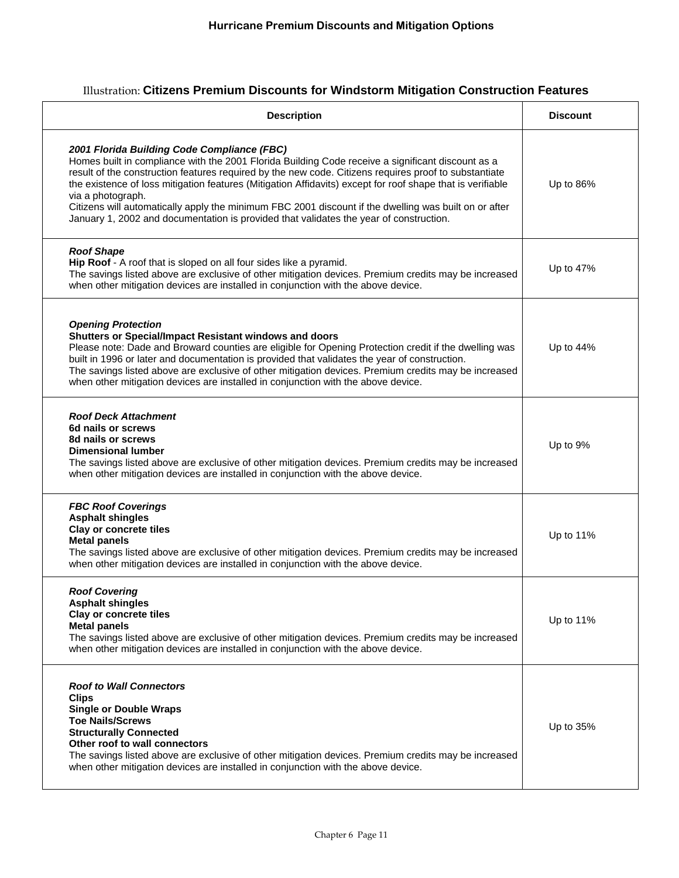# Illustration: **Citizens Premium Discounts for Windstorm Mitigation Construction Features**

| <b>Description</b>                                                                                                                                                                                                                                                                                                                                                                                                                                                                                                                                                                              | <b>Discount</b> |
|-------------------------------------------------------------------------------------------------------------------------------------------------------------------------------------------------------------------------------------------------------------------------------------------------------------------------------------------------------------------------------------------------------------------------------------------------------------------------------------------------------------------------------------------------------------------------------------------------|-----------------|
| 2001 Florida Building Code Compliance (FBC)<br>Homes built in compliance with the 2001 Florida Building Code receive a significant discount as a<br>result of the construction features required by the new code. Citizens requires proof to substantiate<br>the existence of loss mitigation features (Mitigation Affidavits) except for roof shape that is verifiable<br>via a photograph.<br>Citizens will automatically apply the minimum FBC 2001 discount if the dwelling was built on or after<br>January 1, 2002 and documentation is provided that validates the year of construction. | Up to 86%       |
| <b>Roof Shape</b><br>Hip Roof - A roof that is sloped on all four sides like a pyramid.<br>The savings listed above are exclusive of other mitigation devices. Premium credits may be increased<br>when other mitigation devices are installed in conjunction with the above device.                                                                                                                                                                                                                                                                                                            | Up to 47%       |
| <b>Opening Protection</b><br>Shutters or Special/Impact Resistant windows and doors<br>Please note: Dade and Broward counties are eligible for Opening Protection credit if the dwelling was<br>built in 1996 or later and documentation is provided that validates the year of construction.<br>The savings listed above are exclusive of other mitigation devices. Premium credits may be increased<br>when other mitigation devices are installed in conjunction with the above device.                                                                                                      | Up to 44%       |
| <b>Roof Deck Attachment</b><br>6d nails or screws<br>8d nails or screws<br><b>Dimensional lumber</b><br>The savings listed above are exclusive of other mitigation devices. Premium credits may be increased<br>when other mitigation devices are installed in conjunction with the above device.                                                                                                                                                                                                                                                                                               | Up to 9%        |
| <b>FBC Roof Coverings</b><br><b>Asphalt shingles</b><br>Clay or concrete tiles<br><b>Metal panels</b><br>The savings listed above are exclusive of other mitigation devices. Premium credits may be increased<br>when other mitigation devices are installed in conjunction with the above device.                                                                                                                                                                                                                                                                                              | Up to 11%       |
| <b>Roof Covering</b><br><b>Asphalt shingles</b><br>Clay or concrete tiles<br><b>Metal panels</b><br>The savings listed above are exclusive of other mitigation devices. Premium credits may be increased<br>when other mitigation devices are installed in conjunction with the above device.                                                                                                                                                                                                                                                                                                   | Up to $11\%$    |
| <b>Roof to Wall Connectors</b><br><b>Clips</b><br><b>Single or Double Wraps</b><br><b>Toe Nails/Screws</b><br><b>Structurally Connected</b><br>Other roof to wall connectors<br>The savings listed above are exclusive of other mitigation devices. Premium credits may be increased<br>when other mitigation devices are installed in conjunction with the above device.                                                                                                                                                                                                                       | Up to 35%       |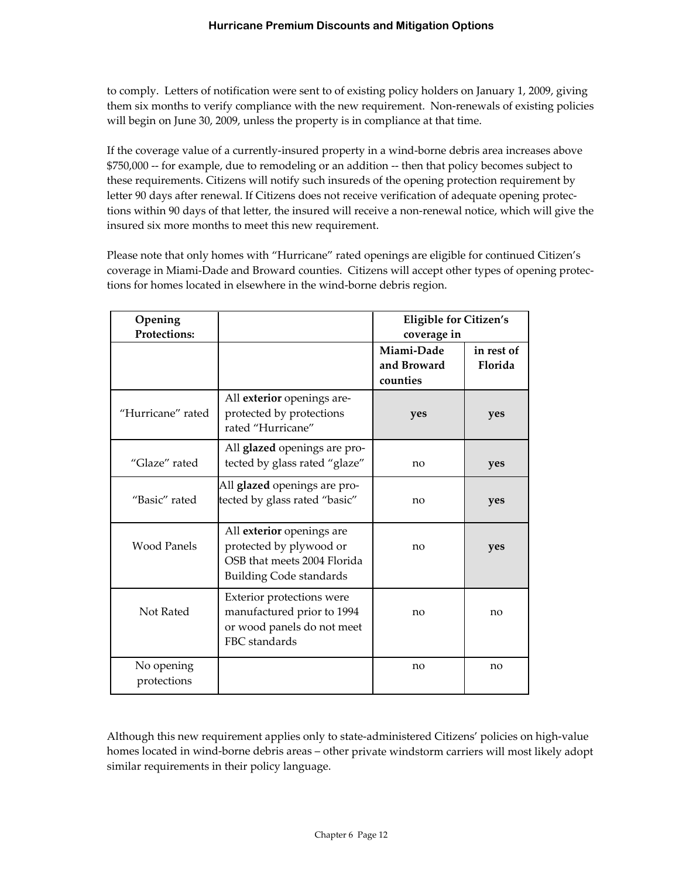to comply. Letters of notification were sent to of existing policy holders on January 1, 2009, giving them six months to verify compliance with the new requirement. Non-renewals of existing policies will begin on June 30, 2009, unless the property is in compliance at that time.

If the coverage value of a currently-insured property in a wind-borne debris area increases above \$750,000 ‐‐ for example, due to remodeling or an addition ‐‐ then that policy becomes subject to these requirements. Citizens will notify such insureds of the opening protection requirement by letter 90 days after renewal. If Citizens does not receive verification of adequate opening protections within 90 days of that letter, the insured will receive a non-renewal notice, which will give the insured six more months to meet this new requirement.

Please note that only homes with "Hurricane" rated openings are eligible for continued Citizen's coverage in Miami‐Dade and Broward counties. Citizens will accept other types of opening protec‐ tions for homes located in elsewhere in the wind‐borne debris region.

| Opening<br><b>Protections:</b> |                                                                                                                       | <b>Eligible for Citizen's</b><br>coverage in |                       |
|--------------------------------|-----------------------------------------------------------------------------------------------------------------------|----------------------------------------------|-----------------------|
|                                |                                                                                                                       | Miami-Dade<br>and Broward<br>counties        | in rest of<br>Florida |
| "Hurricane" rated              | All exterior openings are-<br>protected by protections<br>rated "Hurricane"                                           | yes                                          | yes                   |
| "Glaze" rated                  | All glazed openings are pro-<br>tected by glass rated "glaze"                                                         | no                                           | yes                   |
| "Basic" rated                  | All <b>glazed</b> openings are pro-<br>tected by glass rated "basic"                                                  | no                                           | yes                   |
| <b>Wood Panels</b>             | All exterior openings are<br>protected by plywood or<br>OSB that meets 2004 Florida<br><b>Building Code standards</b> | no                                           | yes                   |
| Not Rated                      | Exterior protections were<br>manufactured prior to 1994<br>or wood panels do not meet<br>FBC standards                | no                                           | no                    |
| No opening<br>protections      |                                                                                                                       | no                                           | no                    |

Although this new requirement applies only to state‐administered Citizens' policies on high‐value homes located in wind-borne debris areas – other private windstorm carriers will most likely adopt similar requirements in their policy language.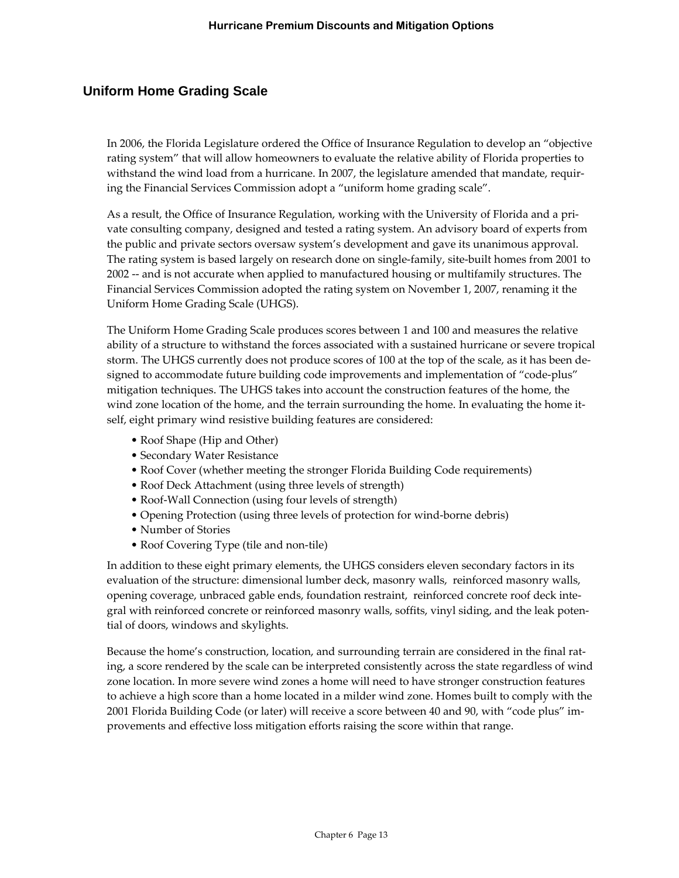# **Uniform Home Grading Scale**

In 2006, the Florida Legislature ordered the Office of Insurance Regulation to develop an "objective rating system" that will allow homeowners to evaluate the relative ability of Florida properties to withstand the wind load from a hurricane. In 2007, the legislature amended that mandate, requiring the Financial Services Commission adopt a "uniform home grading scale".

As a result, the Office of Insurance Regulation, working with the University of Florida and a pri‐ vate consulting company, designed and tested a rating system. An advisory board of experts from the public and private sectors oversaw system's development and gave its unanimous approval. The rating system is based largely on research done on single‐family, site‐built homes from 2001 to 2002 ‐‐ and is not accurate when applied to manufactured housing or multifamily structures. The Financial Services Commission adopted the rating system on November 1, 2007, renaming it the Uniform Home Grading Scale (UHGS).

The Uniform Home Grading Scale produces scores between 1 and 100 and measures the relative ability of a structure to withstand the forces associated with a sustained hurricane or severe tropical storm. The UHGS currently does not produce scores of 100 at the top of the scale, as it has been de‐ signed to accommodate future building code improvements and implementation of "code‐plus" mitigation techniques. The UHGS takes into account the construction features of the home, the wind zone location of the home, and the terrain surrounding the home. In evaluating the home itself, eight primary wind resistive building features are considered:

- Roof Shape (Hip and Other)
- Secondary Water Resistance
- Roof Cover (whether meeting the stronger Florida Building Code requirements)
- Roof Deck Attachment (using three levels of strength)
- Roof‐Wall Connection (using four levels of strength)
- Opening Protection (using three levels of protection for wind-borne debris)
- Number of Stories
- Roof Covering Type (tile and non-tile)

In addition to these eight primary elements, the UHGS considers eleven secondary factors in its evaluation of the structure: dimensional lumber deck, masonry walls, reinforced masonry walls, opening coverage, unbraced gable ends, foundation restraint, reinforced concrete roof deck inte‐ gral with reinforced concrete or reinforced masonry walls, soffits, vinyl siding, and the leak poten‐ tial of doors, windows and skylights.

Because the home's construction, location, and surrounding terrain are considered in the final rating, a score rendered by the scale can be interpreted consistently across the state regardless of wind zone location. In more severe wind zones a home will need to have stronger construction features to achieve a high score than a home located in a milder wind zone. Homes built to comply with the 2001 Florida Building Code (or later) will receive a score between 40 and 90, with "code plus" im‐ provements and effective loss mitigation efforts raising the score within that range.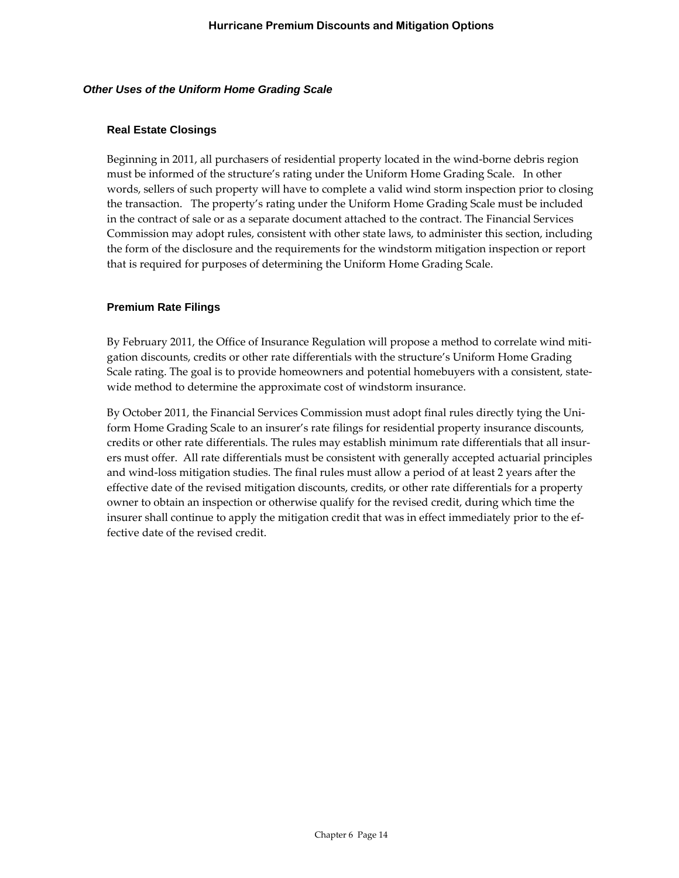#### *Other Uses of the Uniform Home Grading Scale*

#### **Real Estate Closings**

Beginning in 2011, all purchasers of residential property located in the wind-borne debris region must be informed of the structure's rating under the Uniform Home Grading Scale. In other words, sellers of such property will have to complete a valid wind storm inspection prior to closing the transaction. The property's rating under the Uniform Home Grading Scale must be included in the contract of sale or as a separate document attached to the contract. The Financial Services Commission may adopt rules, consistent with other state laws, to administer this section, including the form of the disclosure and the requirements for the windstorm mitigation inspection or report that is required for purposes of determining the Uniform Home Grading Scale.

#### **Premium Rate Filings**

By February 2011, the Office of Insurance Regulation will propose a method to correlate wind mitigation discounts, credits or other rate differentials with the structure's Uniform Home Grading Scale rating. The goal is to provide homeowners and potential homebuyers with a consistent, state‐ wide method to determine the approximate cost of windstorm insurance.

By October 2011, the Financial Services Commission must adopt final rules directly tying the Uni‐ form Home Grading Scale to an insurer's rate filings for residential property insurance discounts, credits or other rate differentials. The rules may establish minimum rate differentials that all insur‐ ers must offer. All rate differentials must be consistent with generally accepted actuarial principles and wind‐loss mitigation studies. The final rules must allow a period of at least 2 years after the effective date of the revised mitigation discounts, credits, or other rate differentials for a property owner to obtain an inspection or otherwise qualify for the revised credit, during which time the insurer shall continue to apply the mitigation credit that was in effect immediately prior to the effective date of the revised credit.